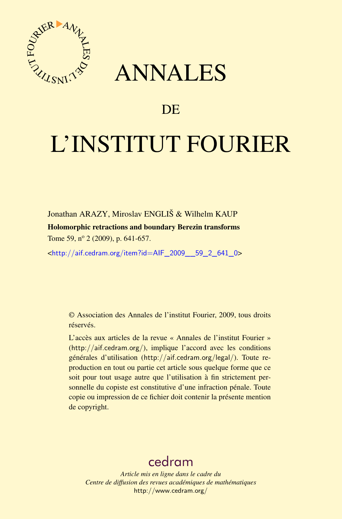

## ANNALES

### **DE**

# L'INSTITUT FOURIER

Jonathan ARAZY, Miroslav ENGLIŠ & Wilhelm KAUP Holomorphic retractions and boundary Berezin transforms Tome 59, nº 2 (2009), p. 641-657.

<[http://aif.cedram.org/item?id=AIF\\_2009\\_\\_59\\_2\\_641\\_0](http://aif.cedram.org/item?id=AIF_2009__59_2_641_0)>

© Association des Annales de l'institut Fourier, 2009, tous droits réservés.

L'accès aux articles de la revue « Annales de l'institut Fourier » (<http://aif.cedram.org/>), implique l'accord avec les conditions générales d'utilisation (<http://aif.cedram.org/legal/>). Toute reproduction en tout ou partie cet article sous quelque forme que ce soit pour tout usage autre que l'utilisation à fin strictement personnelle du copiste est constitutive d'une infraction pénale. Toute copie ou impression de ce fichier doit contenir la présente mention de copyright.

## [cedram](http://www.cedram.org/)

*Article mis en ligne dans le cadre du Centre de diffusion des revues académiques de mathématiques* <http://www.cedram.org/>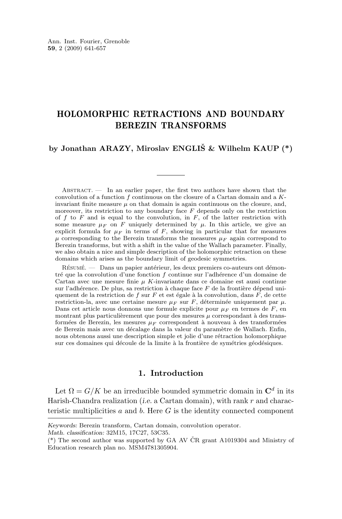#### HOLOMORPHIC RETRACTIONS AND BOUNDARY BEREZIN TRANSFORMS

#### **by Jonathan ARAZY, Miroslav ENGLIŠ & Wilhelm KAUP (\*)**

ABSTRACT.  $\qquad$  In an earlier paper, the first two authors have shown that the convolution of a function f continuous on the closure of a Cartan domain and a  $K$ invariant finite measure  $\mu$  on that domain is again continuous on the closure, and, moreover, its restriction to any boundary face  $F$  depends only on the restriction of  $f$  to  $F$  and is equal to the convolution, in  $F$ , of the latter restriction with some measure  $\mu_F$  on F uniquely determined by  $\mu$ . In this article, we give an explicit formula for  $\mu_F$  in terms of F, showing in particular that for measures  $\mu$  corresponding to the Berezin transforms the measures  $\mu_F$  again correspond to Berezin transforms, but with a shift in the value of the Wallach parameter. Finally, we also obtain a nice and simple description of the holomorphic retraction on these domains which arises as the boundary limit of geodesic symmetries.

Résumé. — Dans un papier antérieur, les deux premiers co-auteurs ont démontré que la convolution d'une fonction f continue sur l'adhérence d'un domaine de Cartan avec une mesure finie  $\mu$  K-invariante dans ce domaine est aussi continue sur l'adhérence. De plus, sa restriction à chaque face  $F$  de la frontière dépend uniquement de la restriction de f sur  $F$  et est égale à la convolution, dans  $F$ , de cette restriction-la, avec une certaine mesure  $\mu_F$  sur F, déterminée uniquement par  $\mu$ . Dans cet article nous donnons une formule explicite pour  $\mu_F$  en termes de F, en montrant plus particulièrement que pour des mesures  $\mu$  correspondant à des transformées de Berezin, les mesures  $\mu_F$  correspondent à nouveau à des transformées de Berezin mais avec un décalage dans la valeur du paramètre de Wallach. Enfin, nous obtenons aussi une description simple et jolie d'une rétraction holomorphique sur ces domaines qui découle de la limite à la frontière de symétries géodésiques.

#### **1. Introduction**

Let  $\Omega = G/K$  be an irreducible bounded symmetric domain in  $\mathbb{C}^d$  in its Harish-Chandra realization (*i.e.* a Cartan domain), with rank r and characteristic multiplicities  $a$  and  $b$ . Here  $G$  is the identity connected component

*Keywords:* Berezin transform, Cartan domain, convolution operator.

*Math. classification:* 32M15, 17C27, 53C35.

<sup>(\*)</sup> The second author was supported by GA AV ČR grant A1019304 and Ministry of Education research plan no. MSM4781305904.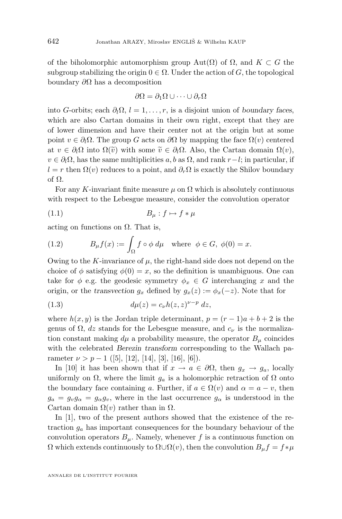<span id="page-2-0"></span>of the biholomorphic automorphism group Aut $(\Omega)$  of  $\Omega$ , and  $K \subset G$  the subgroup stabilizing the origin  $0 \in \Omega$ . Under the action of G, the topological boundary  $\partial Ω$  has a decomposition

$$
\partial\Omega = \partial_1\Omega \cup \cdots \cup \partial_r\Omega
$$

into G-orbits; each  $\partial_l \Omega$ ,  $l = 1, \ldots, r$ , is a disjoint union of *boundary faces*, which are also Cartan domains in their own right, except that they are of lower dimension and have their center not at the origin but at some point  $v \in \partial_l \Omega$ . The group G acts on  $\partial \Omega$  by mapping the face  $\Omega(v)$  centered at  $v \in \partial_l \Omega$  into  $\Omega(\tilde{v})$  with some  $\tilde{v} \in \partial_l \Omega$ . Also, the Cartan domain  $\Omega(v)$ ,  $v \in \partial_l \Omega$ , has the same multiplicities a, b as  $\Omega$ , and rank r – l; in particular, if  $l = r$  then  $\Omega(v)$  reduces to a point, and  $\partial_r \Omega$  is exactly the Shilov boundary of Ω.

For any K-invariant finite measure  $\mu$  on  $\Omega$  which is absolutely continuous with respect to the Lebesgue measure, consider the convolution operator

$$
(1.1) \t B_{\mu}: f \mapsto f * \mu
$$

acting on functions on  $\Omega$ . That is,

(1.2) 
$$
B_{\mu}f(x) := \int_{\Omega} f \circ \phi \, d\mu \quad \text{where} \quad \phi \in G, \ \phi(0) = x.
$$

Owing to the K-invariance of  $\mu$ , the right-hand side does not depend on the choice of  $\phi$  satisfying  $\phi(0) = x$ , so the definition is unambiguous. One can take for  $\phi$  e.g. the geodesic symmetry  $\phi_x \in G$  interchanging x and the origin, or the *transvection*  $g_x$  defined by  $g_x(z) := \phi_x(-z)$ . Note that for

(1.3) 
$$
d\mu(z) = c_{\nu}h(z, z)^{\nu - p} dz,
$$

where  $h(x, y)$  is the Jordan triple determinant,  $p = (r - 1)a + b + 2$  is the genus of  $\Omega$ , dz stands for the Lebesgue measure, and  $c_{\nu}$  is the normalization constant making  $d\mu$  a probability measure, the operator  $B_{\mu}$  coincides with the celebrated *Berezin transform* corresponding to the Wallach parameter  $\nu > p - 1$  ([\[5\]](#page-16-0), [\[12\]](#page-16-0), [\[14\]](#page-16-0), [\[3\]](#page-16-0), [\[16\]](#page-17-0), [\[6\]](#page-16-0)).

In [\[10\]](#page-16-0) it has been shown that if  $x \to a \in \partial\Omega$ , then  $g_x \to g_a$ , locally uniformly on  $\Omega$ , where the limit  $g_a$  is a holomorphic retraction of  $\Omega$  onto the boundary face containing a. Further, if  $a \in \Omega(v)$  and  $\alpha = a - v$ , then  $g_a = g_v g_\alpha = g_\alpha g_v$ , where in the last occurrence  $g_\alpha$  is understood in the Cartan domain  $\Omega(v)$  rather than in  $\Omega$ .

In [\[1\]](#page-16-0), two of the present authors showed that the existence of the retraction  $g_a$  has important consequences for the boundary behaviour of the convolution operators  $B_\mu$ . Namely, whenever f is a continuous function on  $\Omega$  which extends continuously to  $\Omega \cup \Omega(v)$ , then the convolution  $B_{\mu}f = f * \mu$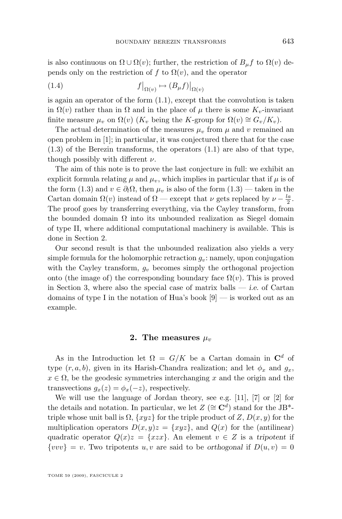is also continuous on  $\Omega \cup \Omega(v)$ ; further, the restriction of  $B_{\mu}f$  to  $\Omega(v)$  depends only on the restriction of f to  $\Omega(v)$ , and the operator

(1.4) 
$$
f|_{\Omega(v)} \mapsto (B_{\mu}f)|_{\Omega(v)}
$$

is again an operator of the form  $(1.1)$ , except that the convolution is taken in  $\Omega(v)$  rather than in  $\Omega$  and in the place of  $\mu$  there is some  $K_v$ -invariant finite measure  $\mu_v$  on  $\Omega(v)$  (K<sub>v</sub> being the K-group for  $\Omega(v) \cong G_v/K_v$ ).

The actual determination of the measures  $\mu_v$  from  $\mu$  and v remained an open problem in [\[1\]](#page-16-0); in particular, it was conjectured there that for the case  $(1.3)$  of the Berezin transforms, the operators  $(1.1)$  are also of that type, though possibly with different  $\nu$ .

The aim of this note is to prove the last conjecture in full: we exhibit an explicit formula relating  $\mu$  and  $\mu_v$ , which implies in particular that if  $\mu$  is of the form [\(1.3\)](#page-2-0) and  $v \in \partial_l \Omega$ , then  $\mu_v$  is also of the form (1.3) — taken in the Cartan domain  $\Omega(v)$  instead of  $\Omega$  — except that  $\nu$  gets replaced by  $\nu - \frac{la}{2}$ . The proof goes by transferring everything, via the Cayley transform, from the bounded domain  $\Omega$  into its unbounded realization as Siegel domain of type II, where additional computational machinery is available. This is done in Section 2.

Our second result is that the unbounded realization also yields a very simple formula for the holomorphic retraction  $g_v$ : namely, upon conjugation with the Cayley transform,  $g_v$  becomes simply the orthogonal projection onto (the image of) the corresponding boundary face  $\Omega(v)$ . This is proved in Section [3,](#page-10-0) where also the special case of matrix balls — *i.e.* of Cartan domains of type I in the notation of Hua's book  $[9]$  — is worked out as an example.

#### **2.** The measures  $\mu_v$

As in the Introduction let  $\Omega = G/K$  be a Cartan domain in  $\mathbb{C}^d$  of type  $(r, a, b)$ , given in its Harish-Chandra realization; and let  $\phi_x$  and  $g_x$ ,  $x \in \Omega$ , be the geodesic symmetries interchanging x and the origin and the transvections  $g_x(z) = \phi_x(-z)$ , respectively.

We will use the language of Jordan theory, see e.g. [\[11\]](#page-16-0), [\[7\]](#page-16-0) or [\[2\]](#page-16-0) for the details and notation. In particular, we let  $Z \ (\cong \mathbb{C}^d)$  stand for the JB<sup>\*</sup>triple whose unit ball is  $\Omega$ ,  $\{xyz\}$  for the triple product of Z,  $D(x, y)$  for the multiplication operators  $D(x,y)z = \{xyz\}$ , and  $Q(x)$  for the (antilinear) quadratic operator  $Q(x)z = \{xzx\}$ . An element  $v \in Z$  is a *tripotent* if  $\{vvv\} = v$ . Two tripotents u, v are said to be *orthogonal* if  $D(u, v) = 0$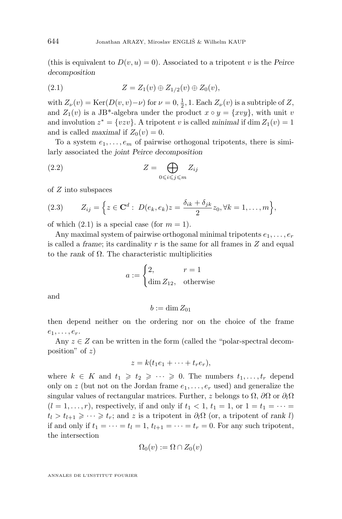<span id="page-4-0"></span>(this is equivalent to  $D(v, u) = 0$ ). Associated to a tripotent v is the *Peirce decomposition*

(2.1) 
$$
Z = Z_1(v) \oplus Z_{1/2}(v) \oplus Z_0(v),
$$

with  $Z_{\nu}(v) = \text{Ker}(D(v, v) - \nu)$  for  $\nu = 0, \frac{1}{2}, 1$ . Each  $Z_{\nu}(v)$  is a subtriple of  $Z$ , and  $Z_1(v)$  is a JB<sup>\*</sup>-algebra under the product  $x \circ y = \{xvy\}$ , with unit v and involution  $z^* = \{vzv\}$ . A tripotent v is called *minimal* if  $\dim Z_1(v) = 1$ and is called *maximal* if  $Z_0(v) = 0$ .

To a system  $e_1, \ldots, e_m$  of pairwise orthogonal tripotents, there is similarly associated the *joint Peirce decomposition*

(2.2) 
$$
Z = \bigoplus_{0 \le i \le j \le m} Z_{ij}
$$

of Z into subspaces

(2.3) 
$$
Z_{ij} = \Big\{ z \in \mathbf{C}^d : D(e_k, e_k) z = \frac{\delta_{ik} + \delta_{jk}}{2} z_0, \forall k = 1, ..., m \Big\},\
$$

of which  $(2.1)$  is a special case (for  $m = 1$ ).

Any maximal system of pairwise orthogonal minimal tripotents  $e_1, \ldots, e_r$ is called a *frame*; its cardinality r is the same for all frames in Z and equal to the *rank* of Ω. The characteristic multiplicities

$$
a := \begin{cases} 2, & r = 1\\ \dim Z_{12}, & \text{otherwise} \end{cases}
$$

and

$$
b:=\dim Z_{01}
$$

then depend neither on the ordering nor on the choice of the frame  $e_1, \ldots, e_r.$ 

Any  $z \in Z$  can be written in the form (called the "polar-spectral decomposition" of  $z$ )

$$
z = k(t_1e_1 + \cdots + t_re_r),
$$

where  $k \in K$  and  $t_1 \geq t_2 \geq \cdots \geq 0$ . The numbers  $t_1, \ldots, t_r$  depend only on z (but not on the Jordan frame  $e_1, \ldots, e_r$  used) and generalize the singular values of rectangular matrices. Further, z belongs to  $\Omega$ ,  $\partial\Omega$  or  $\partial_l\Omega$  $(l = 1, \ldots, r)$ , respectively, if and only if  $t_1 < 1$ ,  $t_1 = 1$ , or  $1 = t_1 = \cdots =$  $t_l > t_{l+1} \geqslant \cdots \geqslant t_r$ ; and z is a tripotent in  $\partial_l \Omega$  (or, a tripotent of *rank l*) if and only if  $t_1 = \cdots = t_l = 1$ ,  $t_{l+1} = \cdots = t_r = 0$ . For any such tripotent, the intersection

$$
\Omega_0(v) := \Omega \cap Z_0(v)
$$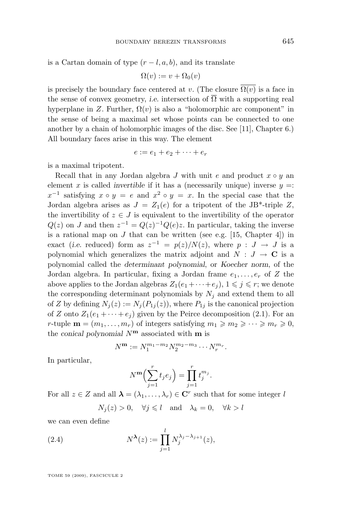<span id="page-5-0"></span>is a Cartan domain of type  $(r - l, a, b)$ , and its translate

$$
\Omega(v) := v + \Omega_0(v)
$$

is precisely the boundary face centered at v. (The closure  $\overline{\Omega(v)}$  is a face in the sense of convex geometry, *i.e.* intersection of  $\overline{\Omega}$  with a supporting real hyperplane in Z. Further,  $\Omega(v)$  is also a "holomorphic arc component" in the sense of being a maximal set whose points can be connected to one another by a chain of holomorphic images of the disc. See [\[11\]](#page-16-0), Chapter 6.) All boundary faces arise in this way. The element

$$
e := e_1 + e_2 + \cdots + e_r
$$

is a maximal tripotent.

Recall that in any Jordan algebra J with unit e and product  $x \circ y$  and element x is called *invertible* if it has a (necessarily unique) inverse  $y =$ :  $x^{-1}$  satisfying  $x \circ y = e$  and  $x^2 \circ y = x$ . In the special case that the Jordan algebra arises as  $J = Z_1(e)$  for a tripotent of the JB<sup>\*</sup>-triple Z, the invertibility of  $z \in J$  is equivalent to the invertibility of the operator  $Q(z)$  on J and then  $z^{-1} = Q(z)^{-1}Q(e)z$ . In particular, taking the inverse is a rational map on  $J$  that can be written (see e.g. [\[15,](#page-17-0) Chapter 4]) in exact (*i.e.* reduced) form as  $z^{-1} = p(z)/N(z)$ , where  $p : J \to J$  is a polynomial which generalizes the matrix adjoint and  $N : J \to \mathbb{C}$  is a polynomial called the *determinant polynomial*, or *Koecher norm*, of the Jordan algebra. In particular, fixing a Jordan frame  $e_1, \ldots, e_r$  of Z the above applies to the Jordan algebras  $Z_1(e_1 + \cdots + e_i)$ ,  $1 \leq i \leq r$ ; we denote the corresponding determinant polynomials by  $N_j$  and extend them to all of Z by defining  $N_j(z) := N_j(P_{1j}(z))$ , where  $P_{1j}$  is the canonical projection of Z onto  $Z_1(e_1 + \cdots + e_i)$  given by the Peirce decomposition [\(2.1\)](#page-4-0). For an r-tuple  $\mathbf{m} = (m_1, \ldots, m_r)$  of integers satisfying  $m_1 \geqslant m_2 \geqslant \cdots \geqslant m_r \geqslant 0$ , the *conical polynomial* N**<sup>m</sup>** associated with **m** is

$$
N^{\mathbf{m}} := N_1^{m_1 - m_2} N_2^{m_2 - m_3} \cdots N_r^{m_r}.
$$

In particular,

$$
N^{\mathbf{m}}\Big(\sum_{j=1}^r t_j e_j\Big) = \prod_{j=1}^r t_j^{m_j}.
$$

For all  $z \in Z$  and all  $\lambda = (\lambda_1, \ldots, \lambda_r) \in \mathbb{C}^r$  such that for some integer l

$$
N_j(z) > 0
$$
,  $\forall j \leq l$  and  $\lambda_k = 0$ ,  $\forall k > l$ 

we can even define

(2.4) 
$$
N^{\lambda}(z) := \prod_{j=1}^{l} N_j^{\lambda_j - \lambda_{j+1}}(z),
$$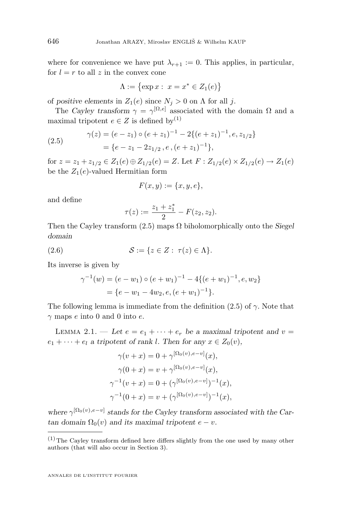where for convenience we have put  $\lambda_{r+1} := 0$ . This applies, in particular, for  $l = r$  to all z in the convex cone

$$
\Lambda := \{ \exp x : \ x = x^* \in Z_1(e) \}
$$

of *positive elements* in  $Z_1(e)$  since  $N_j > 0$  on  $\Lambda$  for all j.

The *Cayley transform*  $\gamma = \gamma^{[\Omega, e]}$  associated with the domain  $\Omega$  and a maximal tripotent  $e \in Z$  is defined by<sup>(1)</sup>

(2.5) 
$$
\gamma(z) = (e - z_1) \circ (e + z_1)^{-1} - 2\{(e + z_1)^{-1}, e, z_{1/2}\}\
$$

$$
= \{e - z_1 - 2z_{1/2}, e, (e + z_1)^{-1}\},
$$

for  $z = z_1 + z_{1/2} \in Z_1(e) \oplus Z_{1/2}(e) = Z$ . Let  $F : Z_{1/2}(e) \times Z_{1/2}(e) \rightarrow Z_1(e)$ be the  $Z_1(e)$ -valued Hermitian form

$$
F(x,y) := \{x,y,e\},\
$$

and define

$$
\tau(z) := \frac{z_1 + z_1^*}{2} - F(z_2, z_2).
$$

Then the Cayley transform (2.5) maps Ω biholomorphically onto the *Siegel domain*

$$
(2.6) \qquad \qquad \mathcal{S} := \{ z \in Z : \ \tau(z) \in \Lambda \}.
$$

Its inverse is given by

$$
\gamma^{-1}(w) = (e - w_1) \circ (e + w_1)^{-1} - 4\{(e + w_1)^{-1}, e, w_2\}
$$
  
=  $\{e - w_1 - 4w_2, e, (e + w_1)^{-1}\}.$ 

The following lemma is immediate from the definition (2.5) of  $\gamma$ . Note that  $\gamma$  maps e into 0 and 0 into e.

LEMMA 2.1. — Let  $e = e_1 + \cdots + e_r$  be a maximal tripotent and  $v =$  $e_1 + \cdots + e_l$  *a tripotent of rank l. Then for any*  $x \in Z_0(v)$ ,

$$
\gamma(v+x) = 0 + \gamma^{[\Omega_0(v), e-v]}(x),
$$
  
\n
$$
\gamma(0+x) = v + \gamma^{[\Omega_0(v), e-v]}(x),
$$
  
\n
$$
\gamma^{-1}(v+x) = 0 + (\gamma^{[\Omega_0(v), e-v]})^{-1}(x),
$$
  
\n
$$
\gamma^{-1}(0+x) = v + (\gamma^{[\Omega_0(v), e-v]})^{-1}(x),
$$

where  $\gamma^{\left[\Omega_0(v),e-v\right]}$  stands for the Cayley transform associated with the Car- $\tan$  *domain*  $\Omega_0(v)$  *and its maximal tripotent*  $e - v$ *.* 

<span id="page-6-0"></span>

 $(1)$  The Cayley transform defined here differs slightly from the one used by many other authors (that will also occur in Section [3\)](#page-10-0).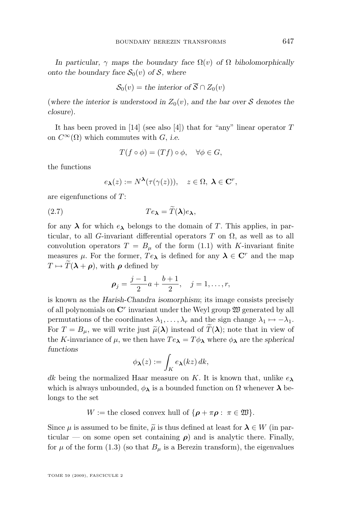<span id="page-7-0"></span>*In particular,*  $\gamma$  *maps the boundary face*  $\Omega(v)$  *of*  $\Omega$  *biholomorphically onto the boundary face*  $S_0(v)$  *of* S, where

$$
\mathcal{S}_0(v) = \text{the interior of } \overline{\mathcal{S}} \cap Z_0(v)
$$

(where the interior is understood in  $Z_0(v)$ , and the bar over S denotes the *closure*).

It has been proved in [\[14\]](#page-16-0) (see also [\[4\]](#page-16-0)) that for "any" linear operator  $T$ on  $C^{\infty}(\Omega)$  which commutes with G, *i.e.* 

$$
T(f \circ \phi) = (Tf) \circ \phi, \quad \forall \phi \in G,
$$

the functions

$$
e_{\boldsymbol{\lambda}}(z) := N^{\boldsymbol{\lambda}}(\tau(\gamma(z))), \quad z \in \Omega, \ \boldsymbol{\lambda} \in \mathbf{C}^r,
$$

are eigenfunctions of T:

$$
(2.7) \t\t T e_{\lambda} = T(\lambda) e_{\lambda},
$$

for any  $\lambda$  for which  $e_{\lambda}$  belongs to the domain of T. This applies, in particular, to all G-invariant differential operators T on  $\Omega$ , as well as to all convolution operators  $T = B_{\mu}$  of the form [\(1.1\)](#page-2-0) with K-invariant finite measures  $\mu$ . For the former,  $Te_{\lambda}$  is defined for any  $\lambda \in \mathbb{C}^{r}$  and the map  $T \mapsto \widetilde{T}(\lambda + \rho)$ , with  $\rho$  defined by

$$
\rho_j = \frac{j-1}{2}a + \frac{b+1}{2}, \quad j = 1, \dots, r,
$$

is known as the *Harish-Chandra isomorphism*; its image consists precisely of all polynomials on  $\mathbb{C}^r$  invariant under the Weyl group  $\mathfrak W$  generated by all permutations of the coordinates  $\lambda_1, \ldots, \lambda_r$  and the sign change  $\lambda_1 \mapsto -\lambda_1$ . For  $T = B_{\mu}$ , we will write just  $\tilde{\mu}(\lambda)$  instead of  $\tilde{T}(\lambda)$ ; note that in view of the K-invariance of  $\mu$ , we then have  $Te_{\lambda} = T\phi_{\lambda}$  where  $\phi_{\lambda}$  are the *spherical functions*

$$
\phi_{\boldsymbol{\lambda}}(z) := \int_K e_{\boldsymbol{\lambda}}(kz) \, dk,
$$

dk being the normalized Haar measure on K. It is known that, unlike  $e_{\lambda}$ which is always unbounded,  $\phi_{\lambda}$  is a bounded function on  $\Omega$  whenever  $\lambda$  belongs to the set

 $W :=$  the closed convex hull of  $\{\boldsymbol{\rho} + \pi \boldsymbol{\rho} : \pi \in \mathfrak{W}\}.$ 

Since  $\mu$  is assumed to be finite,  $\tilde{\mu}$  is thus defined at least for  $\lambda \in W$  (in particular — on some open set containing  $\rho$ ) and is analytic there. Finally, for  $\mu$  of the form [\(1.3\)](#page-2-0) (so that  $B_{\mu}$  is a Berezin transform), the eigenvalues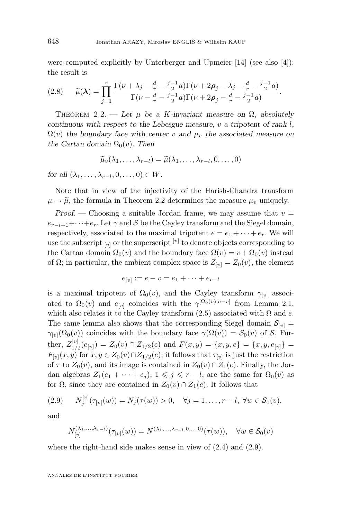<span id="page-8-0"></span>were computed explicitly by Unterberger and Upmeier [\[14\]](#page-16-0) (see also [\[4\]](#page-16-0)): the result is

$$
(2.8) \qquad \widetilde{\mu}(\lambda) = \prod_{j=1}^{r} \frac{\Gamma(\nu + \lambda_j - \frac{d}{r} - \frac{j-1}{2}a)\Gamma(\nu + 2\rho_j - \lambda_j - \frac{d}{r} - \frac{j-1}{2}a)}{\Gamma(\nu - \frac{d}{r} - \frac{j-1}{2}a)\Gamma(\nu + 2\rho_j - \frac{d}{r} - \frac{j-1}{2}a)}.
$$

THEOREM 2.2. — Let  $\mu$  be a K-invariant measure on  $\Omega$ , absolutely *continuous with respect to the Lebesgue measure,* v *a tripotent of rank* l*,*  $\Omega(v)$  the boundary face with center v and  $\mu_v$  the associated measure on *the Cartan domain*  $\Omega_0(v)$ *. Then* 

$$
\widetilde{\mu}_v(\lambda_1,\ldots,\lambda_{r-l})=\widetilde{\mu}(\lambda_1,\ldots,\lambda_{r-l},0,\ldots,0)
$$

*for all*  $(\lambda_1, \ldots, \lambda_{r-l}, 0, \ldots, 0) \in W$ *.* 

Note that in view of the injectivity of the Harish-Chandra transform  $\mu \mapsto \tilde{\mu}$ , the formula in Theorem 2.2 determines the measure  $\mu_v$  uniquely.

*Proof.* — Choosing a suitable Jordan frame, we may assume that  $v =$  $e_{r-l+1}+\cdots+e_r$ . Let  $\gamma$  and  $\mathcal S$  be the Cayley transform and the Siegel domain, respectively, associated to the maximal tripotent  $e = e_1 + \cdots + e_r$ . We will use the subscript  $[v]$  or the superscript  $[v]$  to denote objects corresponding to the Cartan domain  $\Omega_0(v)$  and the boundary face  $\Omega(v) = v + \Omega_0(v)$  instead of  $\Omega$ ; in particular, the ambient complex space is  $Z_{[v]} = Z_0(v)$ , the element

$$
e_{[v]} := e - v = e_1 + \dots + e_{r-l}
$$

is a maximal tripotent of  $\Omega_0(v)$ , and the Cayley transform  $\gamma_{[v]}$  associated to  $\Omega_0(v)$  and  $e_{[v]}$  coincides with the  $\gamma^{\lbrack \Omega_0(v),e-v]}$  from Lemma [2.1,](#page-6-0) which also relates it to the Cayley transform  $(2.5)$  associated with  $\Omega$  and  $e$ . The same lemma also shows that the corresponding Siegel domain  $S_{[v]}$  =  $\gamma_{[v]}(\Omega_0(v))$  coincides with the boundary face  $\gamma(\Omega(v)) = \mathcal{S}_0(v)$  of S. Further,  $Z_{1}^{[v]}$  $\mathcal{I}_{1/2}^{[v]}(e_{[v]}) = Z_0(v) \cap Z_{1/2}(e)$  and  $F(x, y) = \{x, y, e\} = \{x, y, e_{[v]}\} =$  $F_{[v]}(x, y)$  for  $x, y \in Z_0(v) \cap Z_{1/2}(e)$ ; it follows that  $\tau_{[v]}$  is just the restriction of  $\tau$  to  $Z_0(v)$ , and its image is contained in  $Z_0(v) \cap Z_1(e)$ . Finally, the Jordan algebras  $Z_1(e_1 + \cdots + e_j)$ ,  $1 \leq j \leq r - l$ , are the same for  $\Omega_0(v)$  as for  $\Omega$ , since they are contained in  $Z_0(v) \cap Z_1(e)$ . It follows that

(2.9) 
$$
N_j^{[v]}(\tau_{[v]}(w)) = N_j(\tau(w)) > 0, \quad \forall j = 1, ..., r - l, \ \forall w \in S_0(v),
$$

and

$$
N_{[v]}^{(\lambda_1, ..., \lambda_{r-1})}(\tau_{[v]}(w)) = N^{(\lambda_1, ..., \lambda_{r-1}, 0, ..., 0)}(\tau(w)), \quad \forall w \in S_0(v)
$$

where the right-hand side makes sense in view of [\(2.4\)](#page-5-0) and (2.9).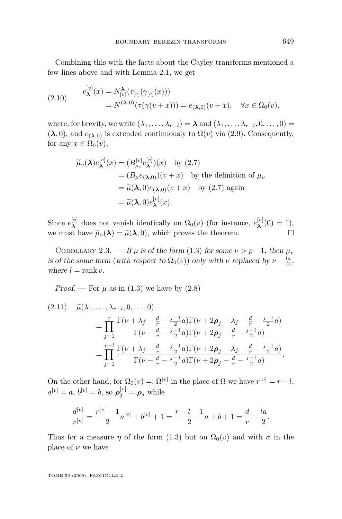<span id="page-9-0"></span>Combining this with the facts about the Cayley transforms mentioned a few lines above and with Lemma [2.1,](#page-6-0) we get

(2.10) 
$$
e_{\lambda}^{[v]}(x) = N_{[v]}^{\lambda}(\tau_{[v]}(\gamma_{[v]}(x)))
$$

$$
= N^{(\lambda,0)}(\tau(\gamma(v+x))) = e_{(\lambda,0)}(v+x), \quad \forall x \in \Omega_0(v),
$$

where, for brevity, we write  $(\lambda_1, \ldots, \lambda_{r-l}) = \lambda$  and  $(\lambda_1, \ldots, \lambda_{r-l}, 0, \ldots, 0) =$  $(\lambda, 0)$ , and  $e_{(\lambda,0)}$  is extended continuously to  $\Omega(v)$  via [\(2.9\)](#page-8-0). Consequently, for any  $x \in \Omega_0(v)$ ,

$$
\widetilde{\mu}_v(\lambda)e_{\lambda}^{[v]}(x) = (B_{\mu_v}^{[v]}e_{\lambda}^{[v]})(x) \text{ by (2.7)}
$$
\n
$$
= (B_{\mu}e_{(\lambda,0)})(v+x) \text{ by the definition of } \mu_v
$$
\n
$$
= \widetilde{\mu}(\lambda,0)e_{(\lambda,0)}(v+x) \text{ by (2.7) again}
$$
\n
$$
= \widetilde{\mu}(\lambda,0)e_{\lambda}^{[v]}(x).
$$

Since  $e_{\lambda}^{[v]}$  $\lambda^{[v]}$  does not vanish identically on  $\Omega_0(v)$  (for instance,  $e^{[v]}$ )  ${\bf x}^{[v]}(0)=1$ ), we must have  $\tilde{\mu}_v(\lambda) = \tilde{\mu}(\lambda, 0)$ , which proves the theorem.

COROLLARY 2.3. — If  $\mu$  is of the form [\(1](#page-2-0).3) for some  $\nu > p-1$ , then  $\mu_v$ *is of the same form* (*with respect to*  $\Omega_0(v)$ ) *only with*  $\nu$  *replaced by*  $\nu - \frac{la}{2}$ , *where*  $l = \text{rank } v$ .

*Proof.* — For  $\mu$  as in [\(1.3\)](#page-2-0) we have by [\(2.8\)](#page-8-0)

$$
(2.11) \quad \widetilde{\mu}(\lambda_1, \ldots, \lambda_{r-l}, 0, \ldots, 0)
$$
\n
$$
= \prod_{j=1}^r \frac{\Gamma(\nu + \lambda_j - \frac{d}{r} - \frac{j-1}{2}a)\Gamma(\nu + 2\rho_j - \lambda_j - \frac{d}{r} - \frac{j-1}{2}a)}{\Gamma(\nu - \frac{d}{r} - \frac{j-1}{2}a)\Gamma(\nu + 2\rho_j - \frac{d}{r} - \frac{j-1}{2}a)}
$$
\n
$$
= \prod_{j=1}^{r-l} \frac{\Gamma(\nu + \lambda_j - \frac{d}{r} - \frac{j-1}{2}a)\Gamma(\nu + 2\rho_j - \lambda_j - \frac{d}{r} - \frac{j-1}{2}a)}{\Gamma(\nu - \frac{d}{r} - \frac{j-1}{2}a)\Gamma(\nu + 2\rho_j - \frac{d}{r} - \frac{j-1}{2}a)}.
$$

On the other hand, for  $\Omega_0(v) =: \Omega^{[v]}$  in the place of  $\Omega$  we have  $r^{[v]} = r - l$ ,  $a^{[v]} = a, b^{[v]} = b$ , so  $\rho_j^{[v]} = \rho_j$  while

$$
\frac{d^{[v]}}{r^{[v]}} = \frac{r^{[v]} - 1}{2}a^{[v]} + b^{[v]} + 1 = \frac{r - l - 1}{2}a + b + 1 = \frac{d}{r} - \frac{la}{2}.
$$

Thus for a measure  $\eta$  of the form [\(1.3\)](#page-2-0) but on  $\Omega_0(v)$  and with  $\sigma$  in the place of  $\nu$  we have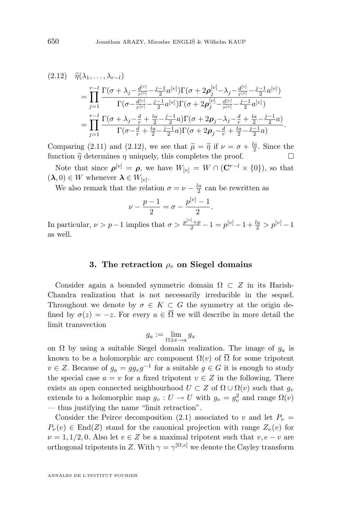$$
(2.12) \quad \widetilde{\eta}(\lambda_1,\ldots,\lambda_{r-l})
$$
\n
$$
= \prod_{j=1}^{r-l} \frac{\Gamma(\sigma+\lambda_j-\frac{d^{[v]}}{r^{[v]}}-\frac{j-1}{2}a^{[v]})\Gamma(\sigma+2\rho_j^{[v]}-\lambda_j-\frac{d^{[v]}}{r^{[v]}}-\frac{j-1}{2}a^{[v]})}{\Gamma(\sigma-\frac{d^{[v]}}{r^{[v]}}-\frac{j-1}{2}a^{[v]})\Gamma(\sigma+2\rho_j^{[v]}-\frac{d^{[v]}}{r^{[v]}}-\frac{j-1}{2}a^{[v]})}
$$
\n
$$
= \prod_{j=1}^{r-l} \frac{\Gamma(\sigma+\lambda_j-\frac{d}{r}+\frac{l_2}{2}-\frac{j-1}{2}a)\Gamma(\sigma+2\rho_j-\lambda_j-\frac{d}{r}+\frac{l_2}{2}-\frac{j-1}{2}a)}{\Gamma(\sigma-\frac{d}{r}+\frac{l_2}{2}-\frac{j-1}{2}a)\Gamma(\sigma+2\rho_j-\frac{d}{r}+\frac{l_2}{2}-\frac{j-1}{2}a)}.
$$

Comparing [\(2.11\)](#page-9-0) and (2.12), we see that  $\tilde{\mu} = \tilde{\eta}$  if  $\nu = \sigma + \frac{la}{2}$ . Since the function  $\tilde{\alpha}$  determines a uniqually this completes the proof. function  $\tilde{\eta}$  determines  $\eta$  uniquely, this completes the proof.

Note that since  $\rho^{[v]} = \rho$ , we have  $W_{[v]} = W \cap (\mathbf{C}^{r-l} \times \{0\}),$  so that  $(\lambda, 0) \in W$  whenever  $\lambda \in W_{[v]}.$ 

We also remark that the relation  $\sigma = \nu - \frac{la}{2}$  can be rewritten as

$$
\nu - \frac{p-1}{2} = \sigma - \frac{p^{[v]}-1}{2}
$$

.

In particular,  $\nu > p - 1$  implies that  $\sigma > \frac{p^{[v]} + p}{2} - 1 = p^{[v]} - 1 + \frac{la}{2} > p^{[v]} - 1$ as well.

#### **3.** The retraction  $\rho_n$  on Siegel domains

Consider again a bounded symmetric domain  $\Omega \subset Z$  in its Harish-Chandra realization that is not necessarily irreducible in the sequel. Throughout we denote by  $\sigma \in K \subset G$  the symmetry at the origin defined by  $\sigma(z) = -z$ . For every  $a \in \overline{\Omega}$  we will describe in more detail the limit transvection

$$
g_a := \lim_{\Omega \ni x \to a} g_x
$$

on  $\Omega$  by using a suitable Siegel domain realization. The image of  $g_a$  is known to be a holomorphic arc component  $\Omega(v)$  of  $\overline{\Omega}$  for some tripotent  $v \in Z$ . Because of  $g_a = gg_v g^{-1}$  for a suitable  $g \in G$  it is enough to study the special case  $a = v$  for a fixed tripotent  $v \in Z$  in the following. There exists an open connected neighbourhood  $U \subset Z$  of  $\Omega \cup \Omega(v)$  such that  $g_v$ extends to a holomorphic map  $g_v: U \to U$  with  $g_v = g_v^2$  and range  $\Omega(v)$ — thus justifying the name "limit retraction".

Consider the Peirce decomposition [\(2.1\)](#page-4-0) associated to v and let  $P_{\nu}$  =  $P_{\nu}(v) \in \text{End}(Z)$  stand for the canonical projection with range  $Z_{\nu}(v)$  for  $\nu = 1, 1/2, 0$ . Also let  $e \in Z$  be a maximal tripotent such that  $v, e - v$  are orthogonal tripotents in Z. With  $\gamma = \gamma^{[\Omega, e]}$  we denote the Cayley transform

<span id="page-10-0"></span>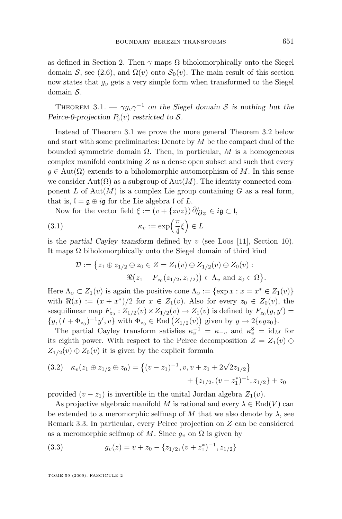<span id="page-11-0"></span>as defined in Section 2. Then  $\gamma$  maps  $\Omega$  biholomorphically onto the Siegel domain S, see [\(2.6\)](#page-6-0), and  $\Omega(v)$  onto  $S_0(v)$ . The main result of this section now states that  $g_v$  gets a very simple form when transformed to the Siegel domain S.

THEOREM 3.1. —  $\gamma g_v \gamma^{-1}$  on the Siegel domain S is nothing but the Peirce-0-projection  $P_0(v)$  restricted to  $S$ .

Instead of Theorem 3.1 we prove the more general Theorem [3.2](#page-12-0) below and start with some preliminaries: Denote by  $M$  be the compact dual of the bounded symmetric domain Ω. Then, in particular, M is a homogeneous complex manifold containing  $Z$  as a dense open subset and such that every  $g \in Aut(\Omega)$  extends to a biholomorphic automorphism of M. In this sense we consider Aut( $\Omega$ ) as a subgroup of Aut(M). The identity connected component L of Aut $(M)$  is a complex Lie group containing G as a real form, that is,  $\mathfrak{l} = \mathfrak{g} \oplus i\mathfrak{g}$  for the Lie algebra  $\mathfrak{l}$  of  $L$ .

Now for the vector field  $\xi := (v + \{zvz\})\partial/\partial z \in i\mathfrak{g} \subset \mathfrak{l}$ ,

(3.1) 
$$
\kappa_v := \exp\left(\frac{\pi}{4}\xi\right) \in L
$$

is the *partial Cayley transform* defined by v (see Loos [\[11\]](#page-16-0), Section 10). It maps  $\Omega$  biholomorphically onto the Siegel domain of third kind

$$
\mathcal{D} := \{ z_1 \oplus z_{1/2} \oplus z_0 \in Z = Z_1(v) \oplus Z_{1/2}(v) \oplus Z_0(v) : \Re(z_1 - F_{z_0}(z_{1/2}, z_{1/2})) \in \Lambda_v \text{ and } z_0 \in \Omega \}.
$$

Here  $\Lambda_v \subset Z_1(v)$  is again the positive cone  $\Lambda_v := \{ \exp x : x = x^* \in Z_1(v) \}$ with  $\Re(x) := (x + x^*)/2$  for  $x \in Z_1(v)$ . Also for every  $z_0 \in Z_0(v)$ , the sesquilinear map  $F_{z_0}: Z_{1/2}(v) \times Z_{1/2}(v) \to Z_1(v)$  is defined by  $F_{z_0}(y, y') =$  $\{y, (I + \Phi_{z_0})^{-1}y', v\}$  with  $\Phi_{z_0} \in \text{End}\left(\mathcal{Z}_{1/2}(v)\right)$  given by  $y \mapsto 2\{eyz_0\}.$ 

The partial Cayley transform satisfies  $\kappa_v^{-1} = \kappa_{-v}$  and  $\kappa_v^8 = id_M$  for its eighth power. With respect to the Peirce decomposition  $Z = Z_1(v) \oplus$  $Z_{1/2}(v) \oplus Z_0(v)$  it is given by the explicit formula

$$
(3.2) \kappa_v(z_1 \oplus z_{1/2} \oplus z_0) = \{ (v - z_1)^{-1}, v, v + z_1 + 2\sqrt{2}z_{1/2} \} + \{ z_{1/2}, (v - z_1^*)^{-1}, z_{1/2} \} + z_0
$$

provided  $(v - z_1)$  is invertible in the unital Jordan algebra  $Z_1(v)$ .

As projective algebraic manifold M is rational and every  $\lambda \in \text{End}(V)$  can be extended to a meromorphic selfmap of M that we also denote by  $\lambda$ , see Remark [3.3.](#page-12-0) In particular, every Peirce projection on Z can be considered as a meromorphic selfmap of M. Since  $g_v$  on  $\Omega$  is given by

(3.3) 
$$
g_v(z) = v + z_0 - \{z_{1/2}, (v + z_1^*)^{-1}, z_{1/2}\}
$$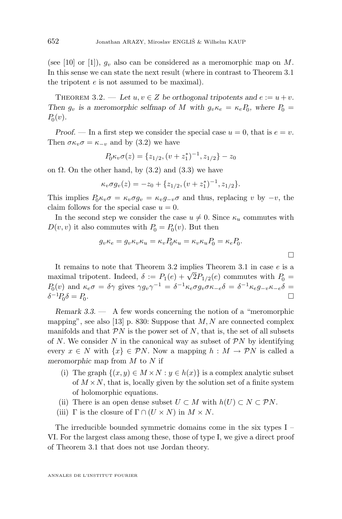<span id="page-12-0"></span>(see [\[10\]](#page-16-0) or [\[1\]](#page-16-0)),  $g_v$  also can be considered as a meromorphic map on M. In this sense we can state the next result (where in contrast to Theorem [3.1](#page-11-0) the tripotent e is not assumed to be maximal).

THEOREM 3.2. — Let  $u, v \in Z$  be orthogonal tripotents and  $e := u + v$ . *Then*  $g_v$  *is a meromorphic selfmap of* M with  $g_v \kappa_e = \kappa_e P_0$ , where  $P_0 =$  $P_0(v)$ .

*Proof.* — In a first step we consider the special case  $u = 0$ , that is  $e = v$ . Then  $\sigma \kappa_v \sigma = \kappa_{-v}$  and by [\(3.2\)](#page-11-0) we have

$$
P_0 \kappa_v \sigma(z) = \{z_{1/2}, (v + z_1^*)^{-1}, z_{1/2}\} - z_0
$$

on  $\Omega$ . On the other hand, by [\(3.2\)](#page-11-0) and [\(3.3\)](#page-11-0) we have

$$
\kappa_v \sigma g_v(z) = -z_0 + \{z_{1/2}, (v+z_1^*)^{-1}, z_{1/2}\}.
$$

This implies  $P_0 \kappa_v \sigma = \kappa_v \sigma g_v = \kappa_v g_{-v} \sigma$  and thus, replacing v by  $-v$ , the claim follows for the special case  $u = 0$ .

In the second step we consider the case  $u \neq 0$ . Since  $\kappa_u$  commutes with  $D(v, v)$  it also commutes with  $P_0 = P_0(v)$ . But then

$$
g_v \kappa_e = g_v \kappa_v \kappa_u = \kappa_v P_0 \kappa_u = \kappa_v \kappa_u P_0 = \kappa_e P_0.
$$

 $\Box$ 

It remains to note that Theorem 3.2 implies Theorem [3.1](#page-11-0) in case e is a It remains to note that Theorem 3.2 implies Theorem 3.1 in case e is a<br>maximal tripotent. Indeed,  $\delta := P_1(e) + \sqrt{2}P_{1/2}(e)$  commutes with  $P_0 =$  $P_0(v)$  and  $\kappa_e \sigma = \delta \gamma$  gives  $\gamma g_v \gamma^{-1} = \delta^{-1} \kappa_e \sigma g_v \sigma \kappa_{-e} \delta = \delta^{-1} \kappa_e g_{-v} \kappa_{-e} \delta =$  $\delta^{-1}P_0\delta = P_0$ .

*Remark 3.3. —* A few words concerning the notion of a "meromorphic mapping", see also [\[13\]](#page-16-0) p. 830: Suppose that  $M, N$  are connected complex manifolds and that  $\mathcal{P}N$  is the power set of N, that is, the set of all subsets of N. We consider N in the canonical way as subset of  $\mathcal{P}N$  by identifying every  $x \in N$  with  $\{x\} \in \mathcal{P}N$ . Now a mapping  $h : M \to \mathcal{P}N$  is called a *meromorphic* map from M to N if

- (i) The graph  $\{(x, y) \in M \times N : y \in h(x)\}\$ is a complex analytic subset of  $M \times N$ , that is, locally given by the solution set of a finite system of holomorphic equations.
- (ii) There is an open dense subset  $U \subset M$  with  $h(U) \subset N \subset \mathcal{P}N$ .
- (iii) Γ is the closure of  $\Gamma \cap (U \times N)$  in  $M \times N$ .

The irreducible bounded symmetric domains come in the six types I – VI. For the largest class among these, those of type I, we give a direct proof of Theorem [3.1](#page-11-0) that does not use Jordan theory.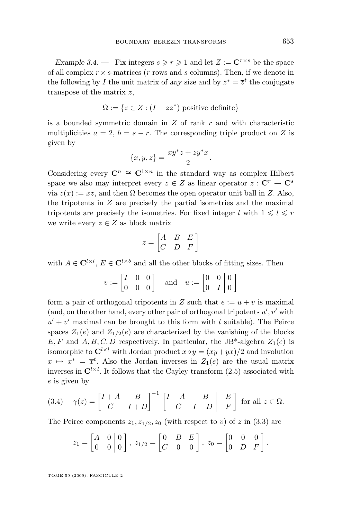<span id="page-13-0"></span>*Example 3.4.* – Fix integers  $s \ge r \ge 1$  and let  $Z := \mathbb{C}^{r \times s}$  be the space of all complex  $r \times s$ -matrices (r rows and s columns). Then, if we denote in the following by I the unit matrix of any size and by  $z^* = \overline{z}^t$  the conjugate transpose of the matrix z,

$$
\Omega := \{ z \in Z : (I - zz^*) \text{ positive definite} \}
$$

is a bounded symmetric domain in  $Z$  of rank  $r$  and with characteristic multiplicities  $a = 2$ ,  $b = s - r$ . The corresponding triple product on Z is given by

$$
\{x,y,z\} = \frac{xy^*z + zy^*x}{2}.
$$

Considering every  $\mathbb{C}^n \cong \mathbb{C}^{1 \times n}$  in the standard way as complex Hilbert space we also may interpret every  $z \in Z$  as linear operator  $z : \mathbf{C}^r \to \mathbf{C}^s$ via  $z(x) := xz$ , and then  $\Omega$  becomes the open operator unit ball in Z. Also, the tripotents in  $Z$  are precisely the partial isometries and the maximal tripotents are precisely the isometries. For fixed integer l with  $1 \leq l \leq r$ we write every  $z \in Z$  as block matrix

$$
z = \begin{bmatrix} A & B & E \\ C & D & F \end{bmatrix}
$$

with  $A \in \mathbf{C}^{l \times l}$ ,  $E \in \mathbf{C}^{l \times b}$  and all the other blocks of fitting sizes. Then

 $v := \begin{bmatrix} I & 0 \\ 0 & 0 \end{bmatrix}$ 0 0 0  $\theta$ and  $u := \begin{bmatrix} 0 & 0 \\ 0 & I \end{bmatrix}$  $0$   $I$ 0 0 1

form a pair of orthogonal tripotents in Z such that  $e := u + v$  is maximal (and, on the other hand, every other pair of orthogonal tripotents  $u', v'$  with  $u' + v'$  maximal can be brought to this form with l suitable). The Peirce spaces  $Z_1(e)$  and  $Z_{1/2}(e)$  are characterized by the vanishing of the blocks E, F and A, B, C, D respectively. In particular, the JB<sup>\*</sup>-algebra  $Z_1(e)$  is isomorphic to  $\mathbf{C}^{l \times l}$  with Jordan product  $x \circ y = (xy + yx)/2$  and involution  $x \mapsto x^* = \overline{x}^t$ . Also the Jordan inverses in  $Z_1(e)$  are the usual matrix inverses in  $\mathbb{C}^{l \times l}$ . It follows that the Cayley transform [\(2.5\)](#page-6-0) associated with e is given by

(3.4) 
$$
\gamma(z) = \begin{bmatrix} I+A & B \\ C & I+D \end{bmatrix}^{-1} \begin{bmatrix} I-A & -B & -E \\ -C & I-D & -F \end{bmatrix}
$$
 for all  $z \in \Omega$ .

The Peirce components  $z_1, z_{1/2}, z_0$  (with respect to v) of z in [\(3.3\)](#page-11-0) are

$$
z_1 = \begin{bmatrix} A & 0 & 0 \\ 0 & 0 & 0 \end{bmatrix}, \ z_{1/2} = \begin{bmatrix} 0 & B & E \\ C & 0 & 0 \end{bmatrix}, \ z_0 = \begin{bmatrix} 0 & 0 & 0 \\ 0 & D & F \end{bmatrix}.
$$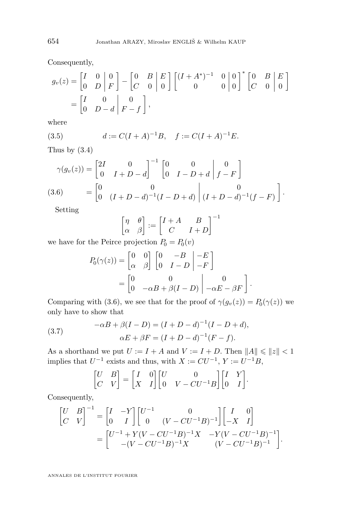Consequently,

$$
g_v(z) = \begin{bmatrix} I & 0 & 0 \\ 0 & D & F \end{bmatrix} - \begin{bmatrix} 0 & B & E \\ C & 0 & 0 \end{bmatrix} \begin{bmatrix} (I + A^*)^{-1} & 0 & 0 \\ 0 & 0 & 0 \end{bmatrix}^* \begin{bmatrix} 0 & B & E \\ C & 0 & 0 \end{bmatrix}
$$

$$
= \begin{bmatrix} I & 0 & 0 \\ 0 & D - d & F - f \end{bmatrix},
$$

where

(3.5) 
$$
d := C(I + A)^{-1}B, \quad f := C(I + A)^{-1}E.
$$

Thus by [\(3.4\)](#page-13-0)

$$
\gamma(g_v(z)) = \begin{bmatrix} 2I & 0 \\ 0 & I + D - d \end{bmatrix}^{-1} \begin{bmatrix} 0 & 0 \\ 0 & I - D + d \end{bmatrix} \begin{bmatrix} 0 \\ f - F \end{bmatrix}
$$
  
(3.6) 
$$
= \begin{bmatrix} 0 & 0 \\ 0 & (I + D - d)^{-1}(I - D + d) \end{bmatrix} \begin{bmatrix} 0 \\ (I + D - d)^{-1}(f - F) \end{bmatrix}.
$$

Setting

$$
\begin{bmatrix} \eta & \theta \\ \alpha & \beta \end{bmatrix} := \begin{bmatrix} I+A & B \\ C & I+D \end{bmatrix}^{-1}
$$

we have for the Peirce projection  $P_0 = P_0(v)$ 

$$
P_0(\gamma(z)) = \begin{bmatrix} 0 & 0 \\ \alpha & \beta \end{bmatrix} \begin{bmatrix} 0 & -B & -E \\ 0 & I - D & -F \end{bmatrix}
$$
  
= 
$$
\begin{bmatrix} 0 & 0 & 0 \\ 0 & -\alpha B + \beta (I - D) & -\alpha E - \beta F \end{bmatrix}.
$$

Comparing with (3.6), we see that for the proof of  $\gamma(g_v(z)) = P_0(\gamma(z))$  we only have to show that

(3.7) 
$$
-\alpha B + \beta (I - D) = (I + D - d)^{-1} (I - D + d),
$$

$$
\alpha E + \beta F = (I + D - d)^{-1} (F - f).
$$

As a shorthand we put  $U := I + A$  and  $V := I + D$ . Then  $||A|| \le ||z|| < 1$ implies that  $U^{-1}$  exists and thus, with  $X := CU^{-1}$ ,  $Y := U^{-1}B$ ,

$$
\begin{bmatrix} U & B \\ C & V \end{bmatrix} = \begin{bmatrix} I & 0 \\ X & I \end{bmatrix} \begin{bmatrix} U & 0 \\ 0 & V - CU^{-1}B \end{bmatrix} \begin{bmatrix} I & Y \\ 0 & I \end{bmatrix}.
$$

Consequently,

$$
\begin{bmatrix} U & B \\ C & V \end{bmatrix}^{-1} = \begin{bmatrix} I & -Y \\ 0 & I \end{bmatrix} \begin{bmatrix} U^{-1} & 0 \\ 0 & (V - CU^{-1}B)^{-1} \end{bmatrix} \begin{bmatrix} I & 0 \\ -X & I \end{bmatrix}
$$

$$
= \begin{bmatrix} U^{-1} + Y(V - CU^{-1}B)^{-1}X & -Y(V - CU^{-1}B)^{-1} \\ -(V - CU^{-1}B)^{-1}X & (V - CU^{-1}B)^{-1} \end{bmatrix}.
$$

<span id="page-14-0"></span>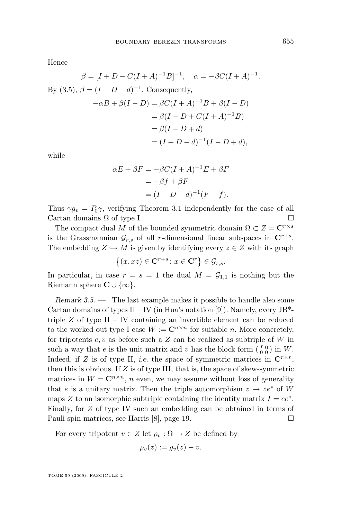Hence

$$
\beta = [I + D - C(I + A)^{-1}B]^{-1}, \quad \alpha = -\beta C(I + A)^{-1}.
$$
  
By (3.5),  $\beta = (I + D - d)^{-1}$ . Consequently,  

$$
-\alpha B + \beta (I - D) = \beta C(I + A)^{-1}B + \beta (I - D)
$$

$$
= \beta (I - D + C(I + A)^{-1}B)
$$

$$
= \beta (I - D + d)
$$

$$
= (I + D - d)^{-1}(I - D + d),
$$

while

$$
\alpha E + \beta F = -\beta C (I + A)^{-1} E + \beta F
$$

$$
= -\beta f + \beta F
$$

$$
= (I + D - d)^{-1} (F - f).
$$

Thus  $\gamma g_v = P_0 \gamma$ , verifying Theorem [3.1](#page-11-0) independently for the case of all Cartan domains  $\Omega$  of type I.

The compact dual M of the bounded symmetric domain  $\Omega \subset Z = \mathbb{C}^{r \times s}$ is the Grassmannian  $\mathcal{G}_{r,s}$  of all r-dimensional linear subspaces in  $\mathbb{C}^{r+s}$ . The embedding  $Z \hookrightarrow M$  is given by identifying every  $z \in Z$  with its graph

$$
\{(x,xz)\in{\bf C}^{r+s}\colon x\in{\bf C}^r\}\in\mathcal{G}_{r,s}.
$$

In particular, in case  $r = s = 1$  the dual  $M = \mathcal{G}_{1,1}$  is nothing but the Riemann sphere  $\mathbf{C} \cup \{\infty\}.$ 

*Remark 3.5. —* The last example makes it possible to handle also some Cartan domains of types II – IV (in Hua's notation [\[9\]](#page-16-0)). Namely, every  $JB^*$ triple  $Z$  of type II – IV containing an invertible element can be reduced to the worked out type I case  $W := \mathbb{C}^{n \times n}$  for suitable n. More concretely, for tripotents  $e, v$  as before such a  $Z$  can be realized as subtriple of  $W$  in such a way that e is the unit matrix and v has the block form  $\begin{pmatrix} I & 0 \\ 0 & 0 \end{pmatrix}$  in W. Indeed, if Z is of type II, *i.e.* the space of symmetric matrices in  $\mathbb{C}^{r \times r}$ , then this is obvious. If  $Z$  is of type III, that is, the space of skew-symmetric matrices in  $W = \mathbb{C}^{n \times n}$ , n even, we may assume without loss of generality that e is a unitary matrix. Then the triple automorphism  $z \mapsto ze^*$  of W maps Z to an isomorphic subtriple containing the identity matrix  $I = ee^*$ . Finally, for Z of type IV such an embedding can be obtained in terms of Pauli spin matrices, see Harris [\[8\]](#page-16-0), page 19.

For every tripotent  $v \in Z$  let  $\rho_v : \Omega \to Z$  be defined by

$$
\rho_v(z) := g_v(z) - v.
$$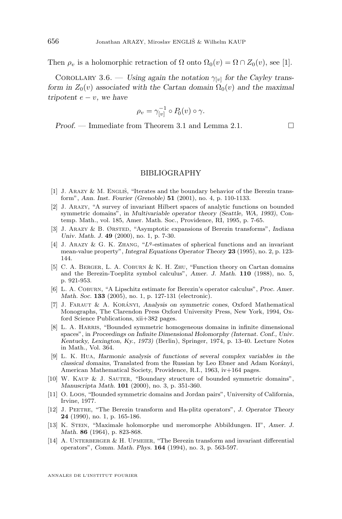Then  $\rho_v$  is a holomorphic retraction of  $\Omega$  onto  $\Omega_0(v) = \Omega \cap Z_0(v)$ , see [1].

COROLLARY 3.6. — Using again the notation  $\gamma_{[v]}$  for the Cayley trans*form in*  $Z_0(v)$  *associated with the Cartan domain*  $\Omega_0(v)$  *and the maximal*  $t$ *ripotent*  $e - v$ *, we have* 

$$
\rho_v = \gamma_{[v]}^{-1} \circ P_0(v) \circ \gamma.
$$

*Proof.* − Immediate from Theorem [3.1](#page-11-0) and Lemma [2.1.](#page-6-0)

#### BIBLIOGRAPHY

- [1] J. Arazy & M. Engliš, "Iterates and the boundary behavior of the Berezin transform", *Ann. Inst. Fourier (Grenoble)* **51** (2001), no. 4, p. 110-1133.
- [2] J. Arazy, "A survey of invariant Hilbert spaces of analytic functions on bounded symmetric domains", in *Multivariable operator theory (Seattle, WA, 1993)*, Contemp. Math., vol. 185, Amer. Math. Soc., Providence, RI, 1995, p. 7-65.
- [3] J. Arazy & B. Ørsted, "Asymptotic expansions of Berezin transforms", *Indiana Univ. Math. J.* **49** (2000), no. 1, p. 7-30.
- [4] J. ARAZY & G. K. ZHANG, "L<sup>q</sup>-estimates of spherical functions and an invariant mean-value property", *Integral Equations Operator Theory* **23** (1995), no. 2, p. 123- 144.
- [5] C. A. Berger, L. A. Coburn & K. H. Zhu, "Function theory on Cartan domains and the Berezin-Toeplitz symbol calculus", *Amer. J. Math.* **110** (1988), no. 5, p. 921-953.
- [6] L. A. Coburn, "A Lipschitz estimate for Berezin's operator calculus", *Proc. Amer. Math. Soc.* **133** (2005), no. 1, p. 127-131 (electronic).
- [7] J. Faraut & A. Korányi, *Analysis on symmetric cones*, Oxford Mathematical Monographs, The Clarendon Press Oxford University Press, New York, 1994, Oxford Science Publications, xii+382 pages.
- [8] L. A. Harris, "Bounded symmetric homogeneous domains in infinite dimensional spaces", in *Proceedings on Infinite Dimensional Holomorphy (Internat. Conf., Univ. Kentucky, Lexington, Ky., 1973)* (Berlin), Springer, 1974, p. 13-40. Lecture Notes in Math., Vol. 364.
- [9] L. K. Hua, *Harmonic analysis of functions of several complex variables in the classical domains*, Translated from the Russian by Leo Ebner and Adam Korányi, American Mathematical Society, Providence, R.I., 1963, iv+164 pages.
- [10] W. Kaup & J. Sauter, "Boundary structure of bounded symmetric domains", *Manuscripta Math.* **101** (2000), no. 3, p. 351-360.
- [11] O. Loos, "Bounded symmetric domains and Jordan pairs", University of California, Irvine, 1977.
- [12] J. Peetre, "The Berezin transform and Ha-plitz operators", *J. Operator Theory* **24** (1990), no. 1, p. 165-186.
- [13] K. Stein, "Maximale holomorphe und meromorphe Abbildungen. II", *Amer. J. Math.* **86** (1964), p. 823-868.
- [14] A. UNTERBERGER  $&$  H. UPMEIER, "The Berezin transform and invariant differential operators", *Comm. Math. Phys.* **164** (1994), no. 3, p. 563-597.

<span id="page-16-0"></span>